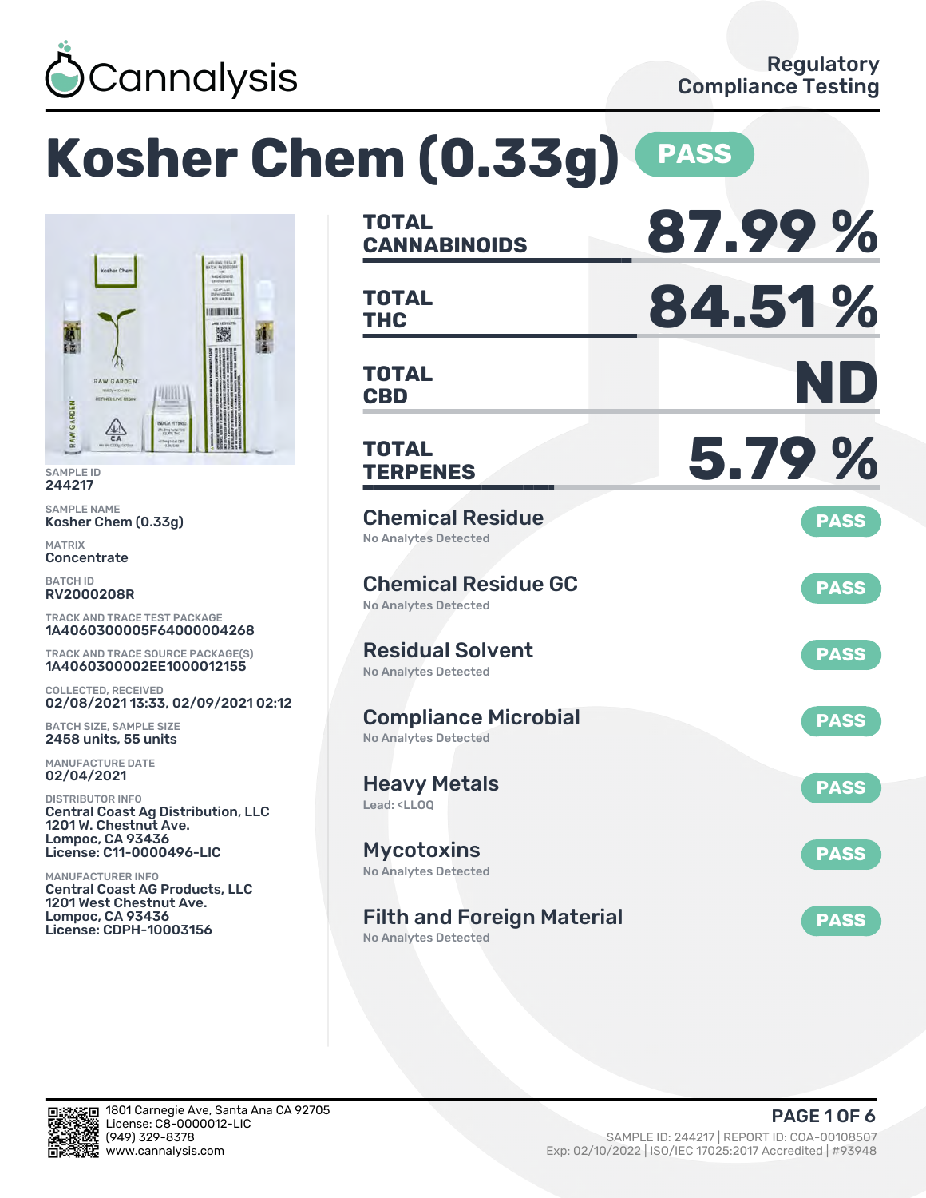

CEMPLIAS **KIRINAIN** 撇

### **Kosher Chem (0.33g) PASS TOTAL CANNABINOIDS 87.99 % TOTAL THC 84.51 % TOTAL CBD ND TOTAL TERPENES 5.79 %** Chemical Residue No Analytes Detected **PASS** Chemical Residue GC No Analytes Detected **PASS** Residual Solvent No Analytes Detected **PASS** Compliance Microbial No Analytes Detected **PASS** Heavy Metals Lead: <LLOQ **PASS Mycotoxins** No Analytes Detected **PASS** Filth and Foreign Material **PASS** 1A4060300005F64000004268 TRACK AND TRACE SOURCE PACKAGE(S) 1A4060300002EE1000012155 02/08/2021 13:33, 02/09/2021 02:12 Central Coast Ag Distribution, LLC Central Coast AG Products, LLC

No Analytes Detected



SAMPLE ID 244217 SAMPLE NAME

MATRIX **Concentrate** BATCH ID RV2000208R

Kosher Chem (0.33g)

**RAW GARDEN** 

**DIMER** 

WINTE

a Breg hate!

COLLECTED, RECEIVED

BATCH SIZE, SAMPLE SIZE 2458 units, 55 units MANUFACTURE DATE 02/04/2021 DISTRIBUTOR INFO

1201 W. Chestnut Ave. Lompoc, CA 93436 License: C11-0000496-LIC

1201 West Chestnut Ave. Lompoc, CA 93436 License: CDPH-10003156

MANUFACTURER INFO

TRACK AND TRACE TEST PACKAGE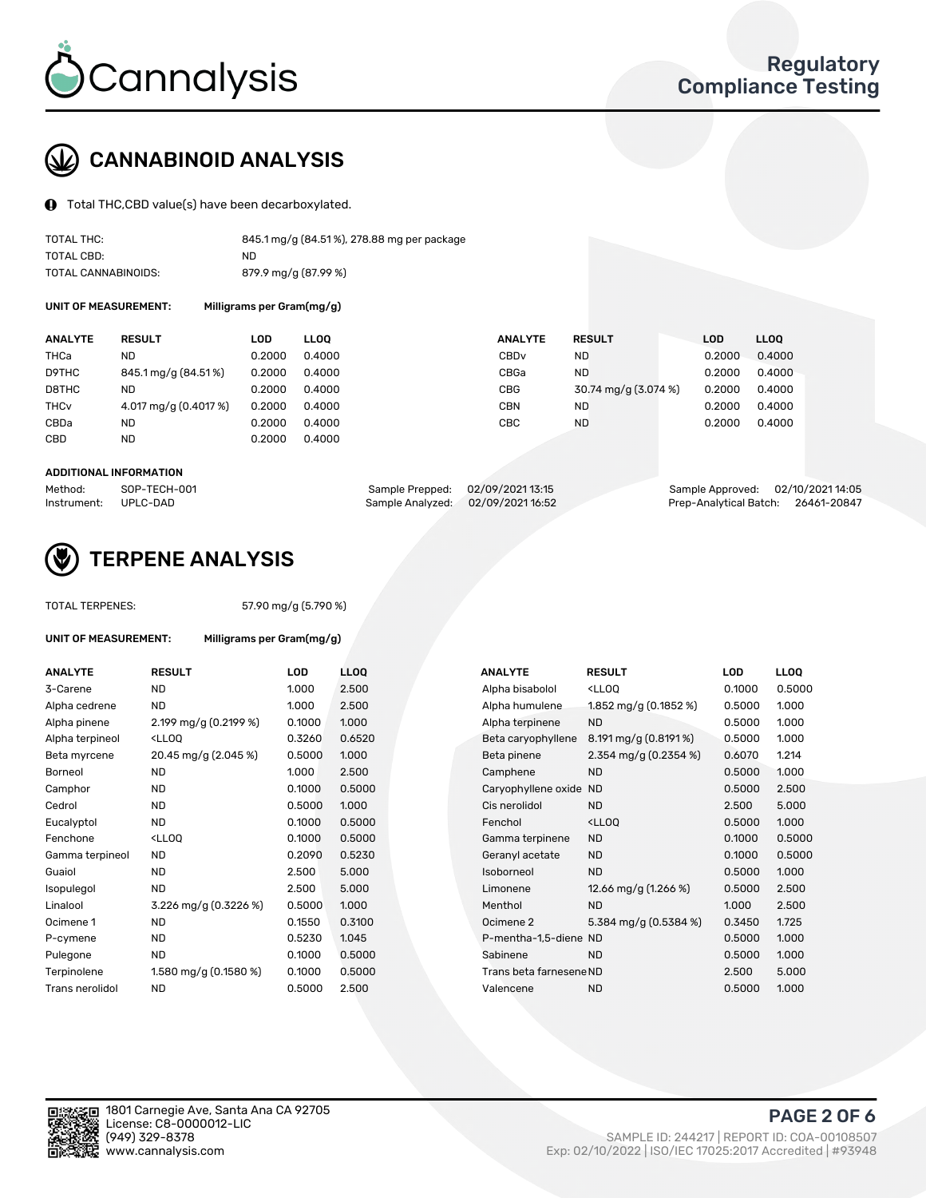

# CANNABINOID ANALYSIS

Total THC,CBD value(s) have been decarboxylated.

| TOTAL THC:          | 845.1 mg/g (84.51%), 278.88 mg per package |
|---------------------|--------------------------------------------|
| TOTAL CBD:          | ND.                                        |
| TOTAL CANNABINOIDS: | 879.9 mg/g (87.99 %)                       |

UNIT OF MEASUREMENT: Milligrams per Gram(mg/g)

| <b>ANALYTE</b>         | <b>RESULT</b>         | LOD    | <b>LLOO</b> | <b>ANALYTE</b>   | <b>RESULT</b>        | <b>LOD</b> | LL <sub>00</sub> |
|------------------------|-----------------------|--------|-------------|------------------|----------------------|------------|------------------|
| THCa                   | ND                    | 0.2000 | 0.4000      | CBD <sub>v</sub> | <b>ND</b>            | 0.2000     | 0.4000           |
| D9THC                  | 845.1 mg/g (84.51%)   | 0.2000 | 0.4000      | CBGa             | <b>ND</b>            | 0.2000     | 0.4000           |
| D8THC                  | ND                    | 0.2000 | 0.4000      | CBG              | 30.74 mg/g (3.074 %) | 0.2000     | 0.4000           |
| <b>THC<sub>v</sub></b> | 4.017 mg/g (0.4017 %) | 0.2000 | 0.4000      | CBN              | <b>ND</b>            | 0.2000     | 0.4000           |
| CBDa                   | <b>ND</b>             | 0.2000 | 0.4000      | CBC              | <b>ND</b>            | 0.2000     | 0.4000           |
| CBD                    | ND                    | 0.2000 | 0.4000      |                  |                      |            |                  |
|                        |                       |        |             |                  |                      |            |                  |

#### ADDITIONAL INFORMATION

| Method:              | SOP-TECH-001 | Sample Prepped: 02/09/202113:15   | Sample Approved: 02/10/2021 14:05  |  |
|----------------------|--------------|-----------------------------------|------------------------------------|--|
| Instrument: UPLC-DAD |              | Sample Analyzed: 02/09/2021 16:52 | Prep-Analytical Batch: 26461-20847 |  |



## TERPENE ANALYSIS

| <b>TOTAL TERPENES:</b> |                                                   | 57.90 mg/g (5.790 %) |      |  |  |  |  |  |
|------------------------|---------------------------------------------------|----------------------|------|--|--|--|--|--|
| UNIT OF MEASUREMENT:   | Milligrams per Gram(mg/g)                         |                      |      |  |  |  |  |  |
| <b>ANALYTE</b>         | <b>RESULT</b>                                     | LOD                  | LLO  |  |  |  |  |  |
| 3-Carene               | <b>ND</b>                                         | 1.000                | 2.50 |  |  |  |  |  |
| Alpha cedrene          | <b>ND</b>                                         | 1.000                | 2.50 |  |  |  |  |  |
| Alpha pinene           | 2.199 mg/g (0.2199 %)                             | 0.1000               | 1.00 |  |  |  |  |  |
| Alpha terpineol        | <lloo< td=""><td>0.3260</td><td>0.65</td></lloo<> | 0.3260               | 0.65 |  |  |  |  |  |
| Beta myrcene           | 20.45 mg/g (2.045 %)                              | 0.5000               | 1.00 |  |  |  |  |  |
| Borneol                | <b>ND</b>                                         | 1.000                | 2.50 |  |  |  |  |  |
| Camphor                | <b>ND</b>                                         | 0.1000               | 0.50 |  |  |  |  |  |
| Cedrol                 | <b>ND</b>                                         | 0.5000               | 1.00 |  |  |  |  |  |
| Eucalyptol             | <b>ND</b>                                         | 0.1000               | 0.50 |  |  |  |  |  |
| Fenchone               | <ll00< td=""><td>0.1000</td><td>0.50</td></ll00<> | 0.1000               | 0.50 |  |  |  |  |  |
| Gamma terpineol        | <b>ND</b>                                         | 0.2090               | 0.52 |  |  |  |  |  |
| Guaiol                 | <b>ND</b>                                         | 2.500                | 5.00 |  |  |  |  |  |
| Isopulegol             | <b>ND</b>                                         | 2.500                | 5.00 |  |  |  |  |  |
| Linalool               | 3.226 mg/g (0.3226 %)                             | 0.5000               | 1.00 |  |  |  |  |  |
| Ocimene 1              | <b>ND</b>                                         | 0.1550               | 0.31 |  |  |  |  |  |
| P-cymene               | <b>ND</b>                                         | 0.5230               | 1.04 |  |  |  |  |  |
| Pulegone               | <b>ND</b>                                         | 0.1000               | 0.50 |  |  |  |  |  |
| Terpinolene            | 1.580 mg/g (0.1580 %)                             | 0.1000               | 0.50 |  |  |  |  |  |
| Trans nerolidol        | <b>ND</b>                                         | 0.5000               | 2.50 |  |  |  |  |  |

| ANALYTE         | <b>RESULT</b>                                                                                                                                                     | LOD    | LLOQ   | ANALYTE                 | <b>RESULT</b>                                       | LOD    | <b>LLOQ</b> |
|-----------------|-------------------------------------------------------------------------------------------------------------------------------------------------------------------|--------|--------|-------------------------|-----------------------------------------------------|--------|-------------|
| 3-Carene        | <b>ND</b>                                                                                                                                                         | 1.000  | 2.500  | Alpha bisabolol         | <ll0q< td=""><td>0.1000</td><td>0.5000</td></ll0q<> | 0.1000 | 0.5000      |
| Alpha cedrene   | <b>ND</b>                                                                                                                                                         | 1.000  | 2.500  | Alpha humulene          | 1.852 mg/g $(0.1852 \%)$                            | 0.5000 | 1.000       |
| Alpha pinene    | 2.199 mg/g $(0.2199%)$                                                                                                                                            | 0.1000 | 1.000  | Alpha terpinene         | <b>ND</b>                                           | 0.5000 | 1.000       |
| Alpha terpineol | <lloq< td=""><td>0.3260</td><td>0.6520</td><td>Beta caryophyllene</td><td><math>8.191 \,\mathrm{mg/g}</math> (0.8191 %)</td><td>0.5000</td><td>1.000</td></lloq<> | 0.3260 | 0.6520 | Beta caryophyllene      | $8.191 \,\mathrm{mg/g}$ (0.8191 %)                  | 0.5000 | 1.000       |
| Beta myrcene    | 20.45 mg/g (2.045 %)                                                                                                                                              | 0.5000 | 1.000  | Beta pinene             | 2.354 mg/g $(0.2354\%)$                             | 0.6070 | 1.214       |
| Borneol         | <b>ND</b>                                                                                                                                                         | 1.000  | 2.500  | Camphene                | <b>ND</b>                                           | 0.5000 | 1.000       |
| Camphor         | <b>ND</b>                                                                                                                                                         | 0.1000 | 0.5000 | Caryophyllene oxide     | <b>ND</b>                                           | 0.5000 | 2.500       |
| Cedrol          | <b>ND</b>                                                                                                                                                         | 0.5000 | 1.000  | Cis nerolidol           | <b>ND</b>                                           | 2.500  | 5.000       |
| Eucalyptol      | <b>ND</b>                                                                                                                                                         | 0.1000 | 0.5000 | Fenchol                 | <ll0q< td=""><td>0.5000</td><td>1.000</td></ll0q<>  | 0.5000 | 1.000       |
| Fenchone        | <lloq< td=""><td>0.1000</td><td>0.5000</td><td>Gamma terpinene</td><td><b>ND</b></td><td>0.1000</td><td>0.5000</td></lloq<>                                       | 0.1000 | 0.5000 | Gamma terpinene         | <b>ND</b>                                           | 0.1000 | 0.5000      |
| Gamma terpineol | ND.                                                                                                                                                               | 0.2090 | 0.5230 | Geranyl acetate         | <b>ND</b>                                           | 0.1000 | 0.5000      |
| Guaiol          | ND                                                                                                                                                                | 2.500  | 5.000  | Isoborneol              | <b>ND</b>                                           | 0.5000 | 1.000       |
| Isopulegol      | ND                                                                                                                                                                | 2.500  | 5.000  | Limonene                | 12.66 mg/g $(1.266\%)$                              | 0.5000 | 2.500       |
| Linalool        | 3.226 mg/g $(0.3226\%)$                                                                                                                                           | 0.5000 | 1.000  | Menthol                 | <b>ND</b>                                           | 1.000  | 2.500       |
| Ocimene 1       | <b>ND</b>                                                                                                                                                         | 0.1550 | 0.3100 | Ocimene 2               | 5.384 mg/g $(0.5384\%)$                             | 0.3450 | 1.725       |
| P-cymene        | <b>ND</b>                                                                                                                                                         | 0.5230 | 1.045  | P-mentha-1,5-diene ND   |                                                     | 0.5000 | 1.000       |
| Pulegone        | <b>ND</b>                                                                                                                                                         | 0.1000 | 0.5000 | Sabinene                | <b>ND</b>                                           | 0.5000 | 1.000       |
| Terpinolene     | 1.580 mg/g $(0.1580\%)$                                                                                                                                           | 0.1000 | 0.5000 | Trans beta farnesene ND |                                                     | 2.500  | 5.000       |
| Trans nerolidol | <b>ND</b>                                                                                                                                                         | 0.5000 | 2.500  | Valencene               | <b>ND</b>                                           | 0.5000 | 1.000       |
|                 |                                                                                                                                                                   |        |        |                         |                                                     |        |             |

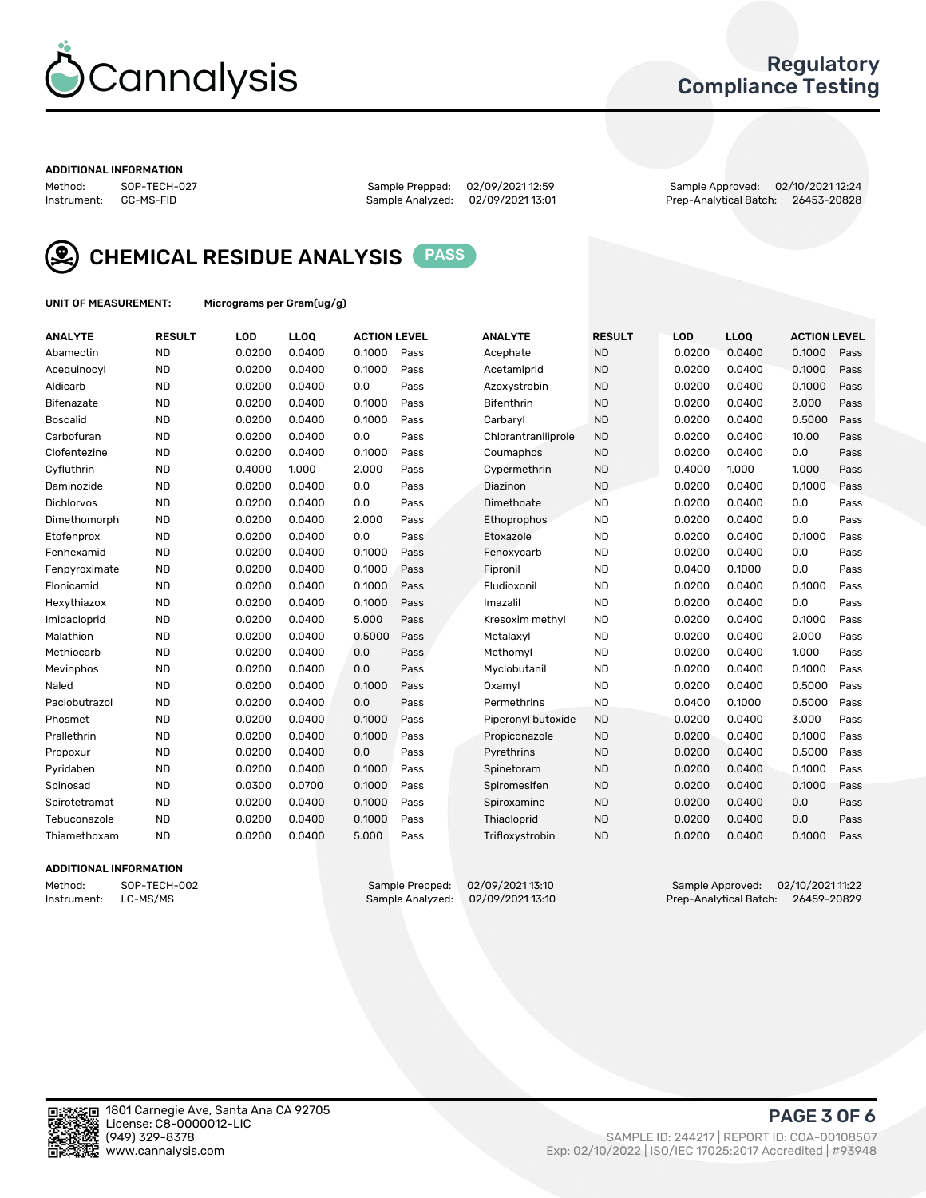

### Regulatory Compliance Testing

#### ADDITIONAL INFORMATION

Method: SOP-TECH-027 Sample Prepped: 02/09/2021 12:59 Sample Approved: 02/10/2021 12:24 Prep-Analytical Batch: 26453-20828



CHEMICAL RESIDUE ANALYSIS PASS

UNIT OF MEASUREMENT: Micrograms per Gram(ug/g)

| <b>ANALYTE</b>    | <b>RESULT</b> | LOD    | LL <sub>OO</sub> | <b>ACTION LEVEL</b> |      | <b>ANALYTE</b>      | <b>RESULT</b> | LOD    | <b>LLOQ</b> | <b>ACTION LEVEL</b> |      |
|-------------------|---------------|--------|------------------|---------------------|------|---------------------|---------------|--------|-------------|---------------------|------|
| Abamectin         | <b>ND</b>     | 0.0200 | 0.0400           | 0.1000              | Pass | Acephate            | <b>ND</b>     | 0.0200 | 0.0400      | 0.1000              | Pass |
| Acequinocyl       | <b>ND</b>     | 0.0200 | 0.0400           | 0.1000              | Pass | Acetamiprid         | <b>ND</b>     | 0.0200 | 0.0400      | 0.1000              | Pass |
| Aldicarb          | <b>ND</b>     | 0.0200 | 0.0400           | 0.0                 | Pass | Azoxystrobin        | <b>ND</b>     | 0.0200 | 0.0400      | 0.1000              | Pass |
| Bifenazate        | <b>ND</b>     | 0.0200 | 0.0400           | 0.1000              | Pass | <b>Bifenthrin</b>   | <b>ND</b>     | 0.0200 | 0.0400      | 3.000               | Pass |
| <b>Boscalid</b>   | <b>ND</b>     | 0.0200 | 0.0400           | 0.1000              | Pass | Carbaryl            | <b>ND</b>     | 0.0200 | 0.0400      | 0.5000              | Pass |
| Carbofuran        | <b>ND</b>     | 0.0200 | 0.0400           | 0.0                 | Pass | Chlorantraniliprole | <b>ND</b>     | 0.0200 | 0.0400      | 10.00               | Pass |
| Clofentezine      | <b>ND</b>     | 0.0200 | 0.0400           | 0.1000              | Pass | Coumaphos           | <b>ND</b>     | 0.0200 | 0.0400      | 0.0                 | Pass |
| Cyfluthrin        | <b>ND</b>     | 0.4000 | 1.000            | 2.000               | Pass | Cypermethrin        | <b>ND</b>     | 0.4000 | 1.000       | 1.000               | Pass |
| Daminozide        | <b>ND</b>     | 0.0200 | 0.0400           | 0.0                 | Pass | Diazinon            | <b>ND</b>     | 0.0200 | 0.0400      | 0.1000              | Pass |
| <b>Dichlorvos</b> | <b>ND</b>     | 0.0200 | 0.0400           | 0.0                 | Pass | Dimethoate          | <b>ND</b>     | 0.0200 | 0.0400      | 0.0                 | Pass |
| Dimethomorph      | <b>ND</b>     | 0.0200 | 0.0400           | 2.000               | Pass | Ethoprophos         | <b>ND</b>     | 0.0200 | 0.0400      | 0.0                 | Pass |
| Etofenprox        | <b>ND</b>     | 0.0200 | 0.0400           | 0.0                 | Pass | Etoxazole           | <b>ND</b>     | 0.0200 | 0.0400      | 0.1000              | Pass |
| Fenhexamid        | <b>ND</b>     | 0.0200 | 0.0400           | 0.1000              | Pass | Fenoxycarb          | <b>ND</b>     | 0.0200 | 0.0400      | 0.0                 | Pass |
| Fenpyroximate     | <b>ND</b>     | 0.0200 | 0.0400           | 0.1000              | Pass | Fipronil            | <b>ND</b>     | 0.0400 | 0.1000      | 0.0                 | Pass |
| Flonicamid        | <b>ND</b>     | 0.0200 | 0.0400           | 0.1000              | Pass | Fludioxonil         | <b>ND</b>     | 0.0200 | 0.0400      | 0.1000              | Pass |
| Hexythiazox       | <b>ND</b>     | 0.0200 | 0.0400           | 0.1000              | Pass | Imazalil            | <b>ND</b>     | 0.0200 | 0.0400      | 0.0                 | Pass |
| Imidacloprid      | <b>ND</b>     | 0.0200 | 0.0400           | 5.000               | Pass | Kresoxim methyl     | <b>ND</b>     | 0.0200 | 0.0400      | 0.1000              | Pass |
| Malathion         | <b>ND</b>     | 0.0200 | 0.0400           | 0.5000              | Pass | Metalaxyl           | <b>ND</b>     | 0.0200 | 0.0400      | 2.000               | Pass |
| Methiocarb        | <b>ND</b>     | 0.0200 | 0.0400           | 0.0                 | Pass | Methomyl            | <b>ND</b>     | 0.0200 | 0.0400      | 1.000               | Pass |
| Mevinphos         | <b>ND</b>     | 0.0200 | 0.0400           | 0.0                 | Pass | Myclobutanil        | <b>ND</b>     | 0.0200 | 0.0400      | 0.1000              | Pass |
| Naled             | <b>ND</b>     | 0.0200 | 0.0400           | 0.1000              | Pass | Oxamyl              | <b>ND</b>     | 0.0200 | 0.0400      | 0.5000              | Pass |
| Paclobutrazol     | <b>ND</b>     | 0.0200 | 0.0400           | 0.0                 | Pass | Permethrins         | <b>ND</b>     | 0.0400 | 0.1000      | 0.5000              | Pass |
| Phosmet           | <b>ND</b>     | 0.0200 | 0.0400           | 0.1000              | Pass | Piperonyl butoxide  | <b>ND</b>     | 0.0200 | 0.0400      | 3.000               | Pass |
| Prallethrin       | <b>ND</b>     | 0.0200 | 0.0400           | 0.1000              | Pass | Propiconazole       | <b>ND</b>     | 0.0200 | 0.0400      | 0.1000              | Pass |
| Propoxur          | <b>ND</b>     | 0.0200 | 0.0400           | 0.0                 | Pass | Pyrethrins          | <b>ND</b>     | 0.0200 | 0.0400      | 0.5000              | Pass |
| Pyridaben         | <b>ND</b>     | 0.0200 | 0.0400           | 0.1000              | Pass | Spinetoram          | <b>ND</b>     | 0.0200 | 0.0400      | 0.1000              | Pass |
| Spinosad          | <b>ND</b>     | 0.0300 | 0.0700           | 0.1000              | Pass | Spiromesifen        | <b>ND</b>     | 0.0200 | 0.0400      | 0.1000              | Pass |
| Spirotetramat     | <b>ND</b>     | 0.0200 | 0.0400           | 0.1000              | Pass | Spiroxamine         | <b>ND</b>     | 0.0200 | 0.0400      | 0.0                 | Pass |
| Tebuconazole      | <b>ND</b>     | 0.0200 | 0.0400           | 0.1000              | Pass | Thiacloprid         | <b>ND</b>     | 0.0200 | 0.0400      | 0.0                 | Pass |
| Thiamethoxam      | <b>ND</b>     | 0.0200 | 0.0400           | 5.000               | Pass | Trifloxystrobin     | <b>ND</b>     | 0.0200 | 0.0400      | 0.1000              | Pass |

### ADDITIONAL INFORMATION

Method: SOP-TECH-002 Sample Prepped: 02/09/2021 13:10 Sample Approved: 02/10/2021 11:22 Prep-Analytical Batch: 26459-20829

PAGE 3 OF 6

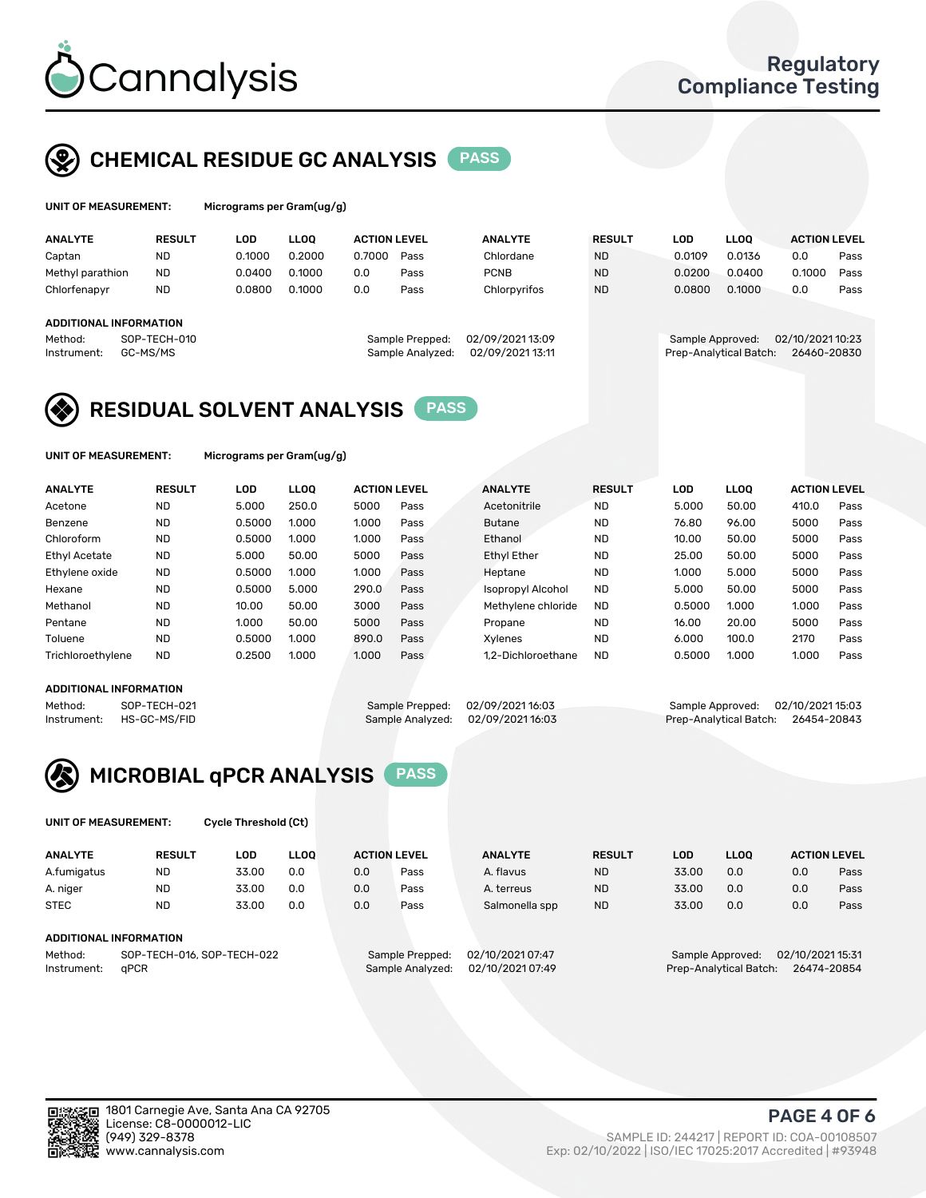

# CHEMICAL RESIDUE GC ANALYSIS PASS

| UNIT OF MEASUREMENT: | Micro |
|----------------------|-------|
|                      |       |

ograms per Gram(ug/g)

| <b>ANALYTE</b>         | <b>RESULT</b> | <b>LOD</b> | <b>LLOO</b> | <b>ACTION LEVEL</b> |                  | <b>ANALYTE</b>   | <b>RESULT</b> | LOD              | <b>LLOO</b>            | <b>ACTION LEVEL</b> |      |
|------------------------|---------------|------------|-------------|---------------------|------------------|------------------|---------------|------------------|------------------------|---------------------|------|
| Captan                 | <b>ND</b>     | 0.1000     | 0.2000      | 0.7000              | Pass             | Chlordane        | <b>ND</b>     | 0.0109           | 0.0136                 | 0.0                 | Pass |
| Methyl parathion       | <b>ND</b>     | 0.0400     | 0.1000      | 0.0                 | Pass             | <b>PCNB</b>      | <b>ND</b>     | 0.0200           | 0.0400                 | 0.1000              | Pass |
| Chlorfenapyr           | <b>ND</b>     | 0.0800     | 0.1000      | 0.0                 | Pass             | Chlorpyrifos     | <b>ND</b>     | 0.0800           | 0.1000                 | 0.0                 | Pass |
|                        |               |            |             |                     |                  |                  |               |                  |                        |                     |      |
| ADDITIONAL INFORMATION |               |            |             |                     |                  |                  |               |                  |                        |                     |      |
| Method:                | SOP-TECH-010  |            |             |                     | Sample Prepped:  | 02/09/2021 13:09 |               | Sample Approved: |                        | 02/10/2021 10:23    |      |
| Instrument:            | GC-MS/MS      |            |             |                     | Sample Analyzed: | 02/09/2021 13:11 |               |                  | Prep-Analytical Batch: | 26460-20830         |      |

## RESIDUAL SOLVENT ANALYSIS PASS

UNIT OF MEASUREMENT: Micrograms per Gram(ug/g)

| <b>ANALYTE</b>       | <b>RESULT</b> | LOD    | <b>LLOO</b> | <b>ACTION LEVEL</b> |      | <b>ANALYTE</b>           | <b>RESULT</b> | LOD    | <b>LLOO</b> | <b>ACTION LEVEL</b> |      |
|----------------------|---------------|--------|-------------|---------------------|------|--------------------------|---------------|--------|-------------|---------------------|------|
| Acetone              | <b>ND</b>     | 5.000  | 250.0       | 5000                | Pass | Acetonitrile             | <b>ND</b>     | 5.000  | 50.00       | 410.0               | Pass |
| Benzene              | <b>ND</b>     | 0.5000 | 1.000       | 1.000               | Pass | <b>Butane</b>            | <b>ND</b>     | 76.80  | 96.00       | 5000                | Pass |
| Chloroform           | <b>ND</b>     | 0.5000 | 1.000       | 1.000               | Pass | Ethanol                  | <b>ND</b>     | 10.00  | 50.00       | 5000                | Pass |
| <b>Ethyl Acetate</b> | <b>ND</b>     | 5.000  | 50.00       | 5000                | Pass | <b>Ethyl Ether</b>       | <b>ND</b>     | 25.00  | 50.00       | 5000                | Pass |
| Ethylene oxide       | <b>ND</b>     | 0.5000 | 1.000       | 1.000               | Pass | Heptane                  | <b>ND</b>     | 1.000  | 5.000       | 5000                | Pass |
| Hexane               | <b>ND</b>     | 0.5000 | 5.000       | 290.0               | Pass | <b>Isopropyl Alcohol</b> | <b>ND</b>     | 5.000  | 50.00       | 5000                | Pass |
| Methanol             | <b>ND</b>     | 10.00  | 50.00       | 3000                | Pass | Methylene chloride       | <b>ND</b>     | 0.5000 | 1.000       | 1.000               | Pass |
| Pentane              | <b>ND</b>     | 1.000  | 50.00       | 5000                | Pass | Propane                  | <b>ND</b>     | 16.00  | 20.00       | 5000                | Pass |
| Toluene              | <b>ND</b>     | 0.5000 | 1.000       | 890.0               | Pass | Xvlenes                  | <b>ND</b>     | 6.000  | 100.0       | 2170                | Pass |
| Trichloroethylene    | <b>ND</b>     | 0.2500 | 1.000       | 1.000               | Pass | 1.2-Dichloroethane       | <b>ND</b>     | 0.5000 | 1.000       | 1.000               | Pass |

#### ADDITIONAL INFORMATION

Method: SOP-TECH-021 Sample Prepped: 02/09/202116:03 Sample Approved: 02/10/202115:03<br>Instrument: HS-GC-MS/FID Sample Analyzed: 02/09/202116:03 Prep-Analytical Batch: 26454-20843 Prep-Analytical Batch: 26454-20843



UNIT OF MEASUREMENT: Cycle Threshold (Ct)

| <b>ANALYTE</b>                        | <b>RESULT</b>          | LOD   | <b>LLOO</b> | <b>ACTION LEVEL</b> |                 | <b>ANALYTE</b>   | <b>RESULT</b> | LOD   | <b>LLOO</b>      |                  | <b>ACTION LEVEL</b> |
|---------------------------------------|------------------------|-------|-------------|---------------------|-----------------|------------------|---------------|-------|------------------|------------------|---------------------|
| A.fumigatus                           | <b>ND</b>              | 33.00 | 0.0         | 0.0                 | Pass            | A. flavus        | <b>ND</b>     | 33.00 | 0.0              | 0.0              | Pass                |
| A. niger                              | <b>ND</b>              | 33.00 | 0.0         | 0.0                 | Pass            | A. terreus       | <b>ND</b>     | 33.00 | 0.0              | 0.0              | Pass                |
| <b>STEC</b>                           | <b>ND</b>              | 33.00 | 0.0         | 0.0                 | Pass            | Salmonella spp   | <b>ND</b>     | 33.00 | 0.0              | 0.0              | Pass                |
|                                       | ADDITIONAL INFORMATION |       |             |                     |                 |                  |               |       |                  |                  |                     |
| SOP-TECH-016, SOP-TECH-022<br>Method: |                        |       |             |                     | Sample Prepped: | 02/10/2021 07:47 |               |       | Sample Approved: | 02/10/2021 15:31 |                     |

Instrument: qPCR Sample Analyzed: 02/10/2021 07:49 Prep-Analytical Batch: 26474-20854

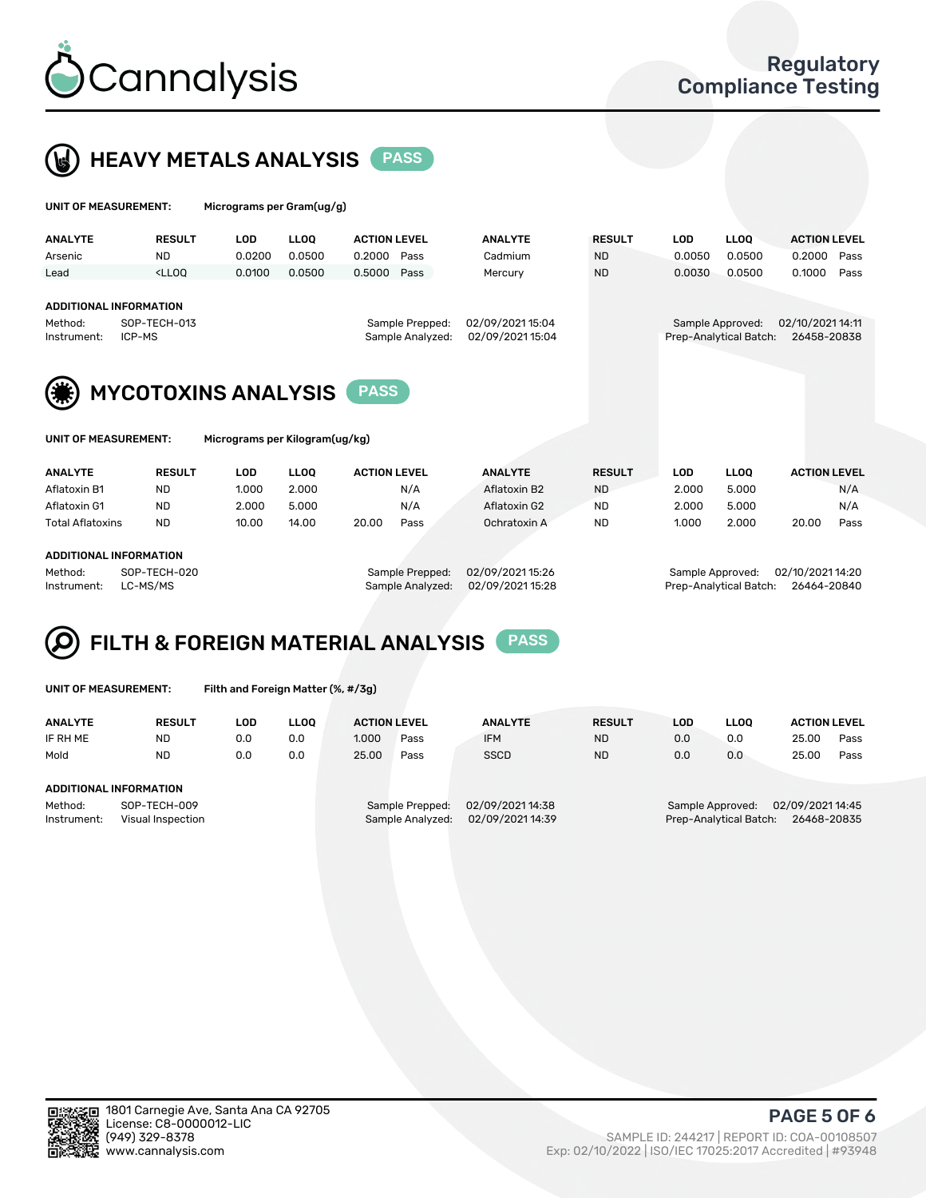

 $U$ UNIT OF MEASUREMENT: Micrograms per Gram(ug/g)



| <b>ANALYTE</b>         | <b>RESULT</b>                                                                                                                                                           | <b>LOD</b>                     | <b>LLOO</b> | <b>ACTION LEVEL</b>                 |                                      | <b>ANALYTE</b> | <b>RESULT</b> | <b>LOD</b>                                 | <b>LLOO</b>                     | <b>ACTION LEVEL</b> |
|------------------------|-------------------------------------------------------------------------------------------------------------------------------------------------------------------------|--------------------------------|-------------|-------------------------------------|--------------------------------------|----------------|---------------|--------------------------------------------|---------------------------------|---------------------|
| Arsenic                | <b>ND</b>                                                                                                                                                               | 0.0200                         | 0.0500      | 0.2000                              | Pass                                 | Cadmium        | <b>ND</b>     | 0.0050                                     | 0.0500                          | 0.2000<br>Pass      |
| Lead                   | <lloq< td=""><td>0.0100</td><td>0.0500</td><td>0.5000</td><td>Pass</td><td>Mercury</td><td><b>ND</b></td><td>0.0030</td><td>0.0500</td><td>0.1000<br/>Pass</td></lloq<> | 0.0100                         | 0.0500      | 0.5000                              | Pass                                 | Mercury        | <b>ND</b>     | 0.0030                                     | 0.0500                          | 0.1000<br>Pass      |
| Method:<br>Instrument: | <b>ADDITIONAL INFORMATION</b><br>SOP-TECH-013<br>ICP-MS                                                                                                                 |                                |             | Sample Prepped:<br>Sample Analyzed: | 02/09/2021 15:04<br>02/09/2021 15:04 |                |               | Sample Approved:<br>Prep-Analytical Batch: | 02/10/2021 14:11<br>26458-20838 |                     |
|                        | <b>MYCOTOXINS ANALYSIS</b>                                                                                                                                              |                                |             | <b>PASS</b>                         |                                      |                |               |                                            |                                 |                     |
| UNIT OF MEASUREMENT:   |                                                                                                                                                                         | Micrograms per Kilogram(ug/kg) |             |                                     |                                      |                |               |                                            |                                 |                     |
| <b>ANALYTE</b>         | <b>RESULT</b>                                                                                                                                                           | <b>LOD</b>                     | <b>LLOO</b> | <b>ACTION LEVEL</b>                 |                                      | <b>ANALYTE</b> | <b>RESULT</b> | <b>LOD</b>                                 | <b>LLOO</b>                     | <b>ACTION LEVEL</b> |

| Aflatoxin B1            | <b>ND</b> | 1.000 | 2.000 |       | N/A  | Aflatoxin B2 | <b>ND</b> | 2.000 | 5.000 |       | N/A  |
|-------------------------|-----------|-------|-------|-------|------|--------------|-----------|-------|-------|-------|------|
| Aflatoxin G1            | <b>ND</b> | 2.000 | 5.000 |       | N/A  | Aflatoxin G2 | <b>ND</b> | 2.000 | 5.000 |       | N/A  |
| <b>Total Aflatoxins</b> | <b>ND</b> | 10.00 | 14.00 | 20.00 | Pass | Ochratoxin A | <b>ND</b> | 1.000 | 2.000 | 20.00 | Pass |
|                         |           |       |       |       |      |              |           |       |       |       |      |
| ADDITIONAL INFORMATION  |           |       |       |       |      |              |           |       |       |       |      |

Method: SOP-TECH-020 Sample Prepped: 02/09/2021 15:26 Sample Approved: 02/10/2021 14:20 Instrument: LC-MS/MS Sample Analyzed: 02/09/2021 15:28 Prep-Analytical Batch: 26464-20840

#### FILTH & FOREIGN MATERIAL ANALYSIS PASS Q

UNIT OF MEASUREMENT: Filth and Foreign Matter (%, #/3g)

| <b>ANALYTE</b>                                              | <b>RESULT</b> | LOD. | LLOO | <b>ACTION LEVEL</b> |                                     | <b>ANALYTE</b>                       | <b>RESULT</b> | LOD                                                                           | <b>LLOO</b> | <b>ACTION LEVEL</b> |      |
|-------------------------------------------------------------|---------------|------|------|---------------------|-------------------------------------|--------------------------------------|---------------|-------------------------------------------------------------------------------|-------------|---------------------|------|
| IF RH ME                                                    | <b>ND</b>     | 0.0  | 0.0  | 1.000               | Pass                                | <b>IFM</b>                           | <b>ND</b>     | 0.0                                                                           | 0.0         | 25.00               | Pass |
| Mold                                                        | <b>ND</b>     | 0.0  | 0.0  | 25.00               | Pass                                | <b>SSCD</b>                          | <b>ND</b>     | 0.0                                                                           | 0.0         | 25.00               | Pass |
| ADDITIONAL INFORMATION                                      |               |      |      |                     |                                     |                                      |               |                                                                               |             |                     |      |
| Method:<br>SOP-TECH-009<br>Instrument:<br>Visual Inspection |               |      |      |                     | Sample Prepped:<br>Sample Analyzed: | 02/09/2021 14:38<br>02/09/2021 14:39 |               | 02/09/2021 14:45<br>Sample Approved:<br>Prep-Analytical Batch:<br>26468-20835 |             |                     |      |



PAGE 5 OF 6